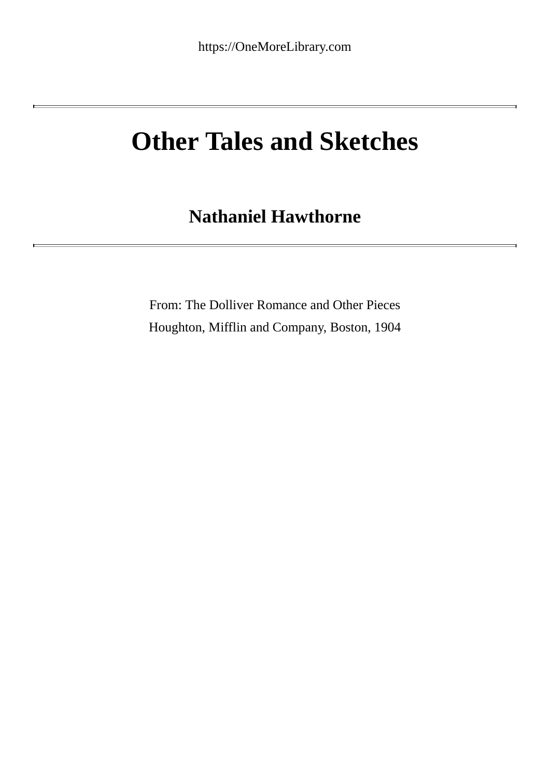# **Other Tales and Sketches**

# **Nathaniel Hawthorne**

From: The Dolliver Romance and Other Pieces Houghton, Mifflin and Company, Boston, 1904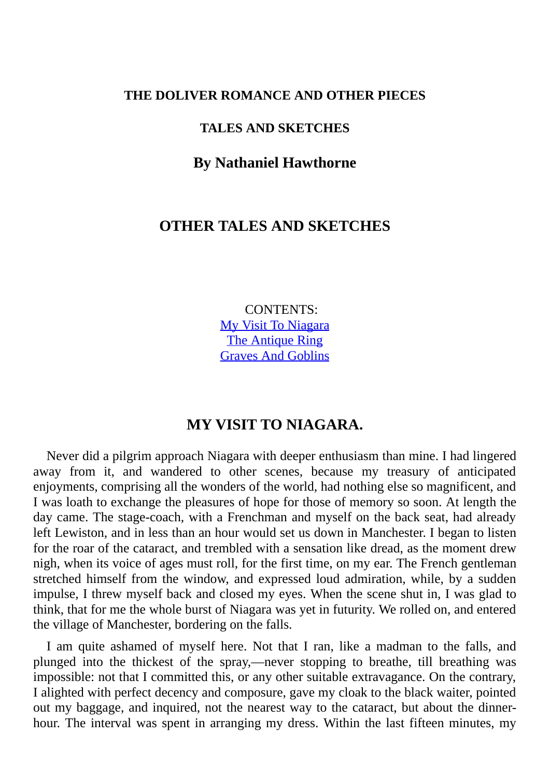#### **THE DOLIVER ROMANCE AND OTHER PIECES**

#### **TALES AND SKETCHES**

#### **By Nathaniel Hawthorne**

# **OTHER TALES AND SKETCHES**

CONTENTS: My Visit To Niagara The Antique Ring Graves And Goblins

#### **MY VISIT TO NIAGARA.**

Never did a pilgrim approach Niagara with deeper enthusiasm than mine. I had lingered away from it, and wandered to other scenes, because my treasury of anticipated enjoyments, comprising all the wonders of the world, had nothing else so magnificent, and I was loath to exchange the pleasures of hope for those of memory so soon. At length the day came. The stage-coach, with a Frenchman and myself on the back seat, had already left Lewiston, and in less than an hour would set us down in Manchester. I began to listen for the roar of the cataract, and trembled with a sensation like dread, as the moment drew nigh, when its voice of ages must roll, for the first time, on my ear. The French gentleman stretched himself from the window, and expressed loud admiration, while, by a sudden impulse, I threw myself back and closed my eyes. When the scene shut in, I was glad to think, that for me the whole burst of Niagara was yet in futurity. We rolled on, and entered the village of Manchester, bordering on the falls.

I am quite ashamed of myself here. Not that I ran, like a madman to the falls, and plunged into the thickest of the spray,—never stopping to breathe, till breathing was impossible: not that I committed this, or any other suitable extravagance. On the contrary, I alighted with perfect decency and composure, gave my cloak to the black waiter, pointed out my baggage, and inquired, not the nearest way to the cataract, but about the dinnerhour. The interval was spent in arranging my dress. Within the last fifteen minutes, my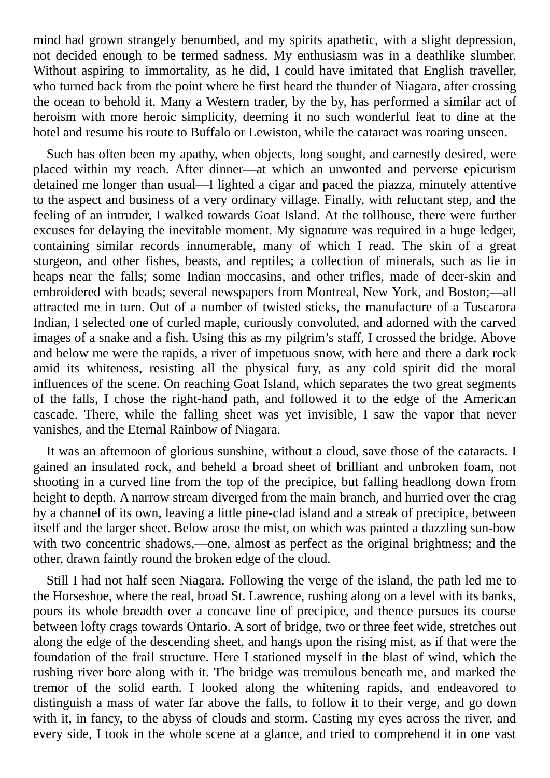mind had grown strangely benumbed, and my spirits apathetic, with a slight depression, not decided enough to be termed sadness. My enthusiasm was in a deathlike slumber. Without aspiring to immortality, as he did, I could have imitated that English traveller, who turned back from the point where he first heard the thunder of Niagara, after crossing the ocean to behold it. Many a Western trader, by the by, has performed a similar act of heroism with more heroic simplicity, deeming it no such wonderful feat to dine at the hotel and resume his route to Buffalo or Lewiston, while the cataract was roaring unseen.

Such has often been my apathy, when objects, long sought, and earnestly desired, were placed within my reach. After dinner—at which an unwonted and perverse epicurism detained me longer than usual—I lighted a cigar and paced the piazza, minutely attentive to the aspect and business of a very ordinary village. Finally, with reluctant step, and the feeling of an intruder, I walked towards Goat Island. At the tollhouse, there were further excuses for delaying the inevitable moment. My signature was required in a huge ledger, containing similar records innumerable, many of which I read. The skin of a great sturgeon, and other fishes, beasts, and reptiles; a collection of minerals, such as lie in heaps near the falls; some Indian moccasins, and other trifles, made of deer-skin and embroidered with beads; several newspapers from Montreal, New York, and Boston;—all attracted me in turn. Out of a number of twisted sticks, the manufacture of a Tuscarora Indian, I selected one of curled maple, curiously convoluted, and adorned with the carved images of a snake and a fish. Using this as my pilgrim's staff, I crossed the bridge. Above and below me were the rapids, a river of impetuous snow, with here and there a dark rock amid its whiteness, resisting all the physical fury, as any cold spirit did the moral influences of the scene. On reaching Goat Island, which separates the two great segments of the falls, I chose the right-hand path, and followed it to the edge of the American cascade. There, while the falling sheet was yet invisible, I saw the vapor that never vanishes, and the Eternal Rainbow of Niagara.

It was an afternoon of glorious sunshine, without a cloud, save those of the cataracts. I gained an insulated rock, and beheld a broad sheet of brilliant and unbroken foam, not shooting in a curved line from the top of the precipice, but falling headlong down from height to depth. A narrow stream diverged from the main branch, and hurried over the crag by a channel of its own, leaving a little pine-clad island and a streak of precipice, between itself and the larger sheet. Below arose the mist, on which was painted a dazzling sun-bow with two concentric shadows,—one, almost as perfect as the original brightness; and the other, drawn faintly round the broken edge of the cloud.

Still I had not half seen Niagara. Following the verge of the island, the path led me to the Horseshoe, where the real, broad St. Lawrence, rushing along on a level with its banks, pours its whole breadth over a concave line of precipice, and thence pursues its course between lofty crags towards Ontario. A sort of bridge, two or three feet wide, stretches out along the edge of the descending sheet, and hangs upon the rising mist, as if that were the foundation of the frail structure. Here I stationed myself in the blast of wind, which the rushing river bore along with it. The bridge was tremulous beneath me, and marked the tremor of the solid earth. I looked along the whitening rapids, and endeavored to distinguish a mass of water far above the falls, to follow it to their verge, and go down with it, in fancy, to the abyss of clouds and storm. Casting my eyes across the river, and every side, I took in the whole scene at a glance, and tried to comprehend it in one vast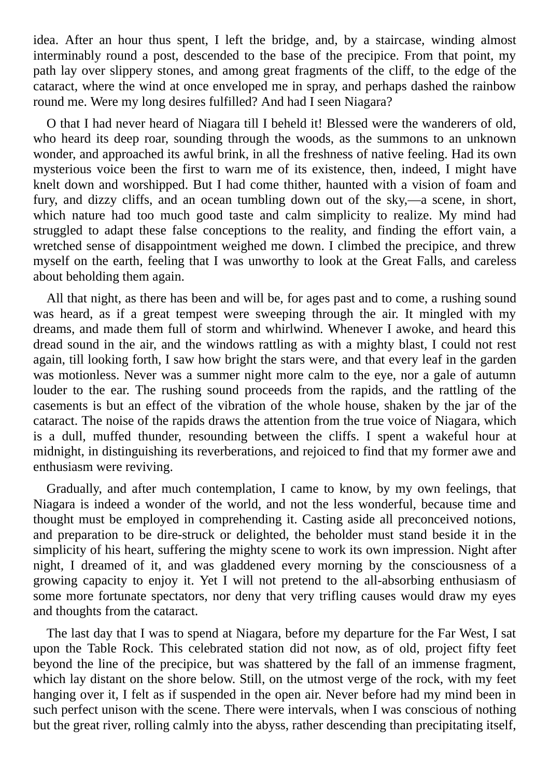idea. After an hour thus spent, I left the bridge, and, by a staircase, winding almost interminably round a post, descended to the base of the precipice. From that point, my path lay over slippery stones, and among great fragments of the cliff, to the edge of the cataract, where the wind at once enveloped me in spray, and perhaps dashed the rainbow round me. Were my long desires fulfilled? And had I seen Niagara?

O that I had never heard of Niagara till I beheld it! Blessed were the wanderers of old, who heard its deep roar, sounding through the woods, as the summons to an unknown wonder, and approached its awful brink, in all the freshness of native feeling. Had its own mysterious voice been the first to warn me of its existence, then, indeed, I might have knelt down and worshipped. But I had come thither, haunted with a vision of foam and fury, and dizzy cliffs, and an ocean tumbling down out of the sky,—a scene, in short, which nature had too much good taste and calm simplicity to realize. My mind had struggled to adapt these false conceptions to the reality, and finding the effort vain, a wretched sense of disappointment weighed me down. I climbed the precipice, and threw myself on the earth, feeling that I was unworthy to look at the Great Falls, and careless about beholding them again.

All that night, as there has been and will be, for ages past and to come, a rushing sound was heard, as if a great tempest were sweeping through the air. It mingled with my dreams, and made them full of storm and whirlwind. Whenever I awoke, and heard this dread sound in the air, and the windows rattling as with a mighty blast, I could not rest again, till looking forth, I saw how bright the stars were, and that every leaf in the garden was motionless. Never was a summer night more calm to the eye, nor a gale of autumn louder to the ear. The rushing sound proceeds from the rapids, and the rattling of the casements is but an effect of the vibration of the whole house, shaken by the jar of the cataract. The noise of the rapids draws the attention from the true voice of Niagara, which is a dull, muffed thunder, resounding between the cliffs. I spent a wakeful hour at midnight, in distinguishing its reverberations, and rejoiced to find that my former awe and enthusiasm were reviving.

Gradually, and after much contemplation, I came to know, by my own feelings, that Niagara is indeed a wonder of the world, and not the less wonderful, because time and thought must be employed in comprehending it. Casting aside all preconceived notions, and preparation to be dire-struck or delighted, the beholder must stand beside it in the simplicity of his heart, suffering the mighty scene to work its own impression. Night after night, I dreamed of it, and was gladdened every morning by the consciousness of a growing capacity to enjoy it. Yet I will not pretend to the all-absorbing enthusiasm of some more fortunate spectators, nor deny that very trifling causes would draw my eyes and thoughts from the cataract.

The last day that I was to spend at Niagara, before my departure for the Far West, I sat upon the Table Rock. This celebrated station did not now, as of old, project fifty feet beyond the line of the precipice, but was shattered by the fall of an immense fragment, which lay distant on the shore below. Still, on the utmost verge of the rock, with my feet hanging over it, I felt as if suspended in the open air. Never before had my mind been in such perfect unison with the scene. There were intervals, when I was conscious of nothing but the great river, rolling calmly into the abyss, rather descending than precipitating itself,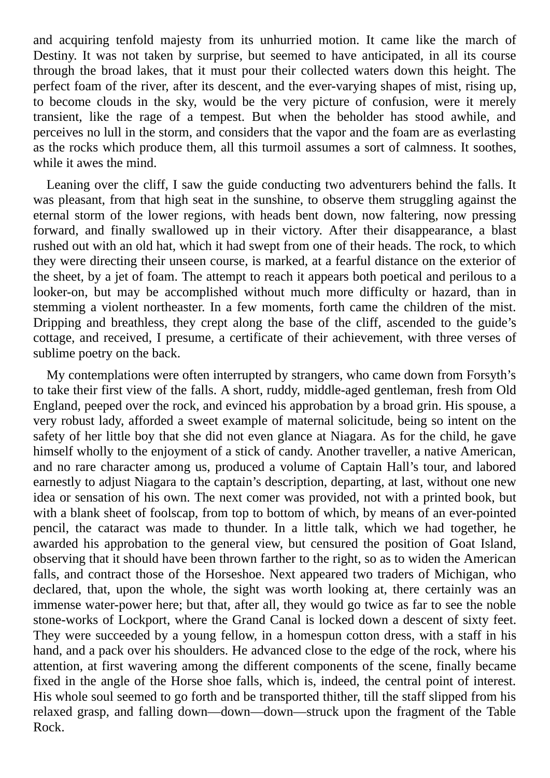and acquiring tenfold majesty from its unhurried motion. It came like the march of Destiny. It was not taken by surprise, but seemed to have anticipated, in all its course through the broad lakes, that it must pour their collected waters down this height. The perfect foam of the river, after its descent, and the ever-varying shapes of mist, rising up, to become clouds in the sky, would be the very picture of confusion, were it merely transient, like the rage of a tempest. But when the beholder has stood awhile, and perceives no lull in the storm, and considers that the vapor and the foam are as everlasting as the rocks which produce them, all this turmoil assumes a sort of calmness. It soothes, while it awes the mind.

Leaning over the cliff, I saw the guide conducting two adventurers behind the falls. It was pleasant, from that high seat in the sunshine, to observe them struggling against the eternal storm of the lower regions, with heads bent down, now faltering, now pressing forward, and finally swallowed up in their victory. After their disappearance, a blast rushed out with an old hat, which it had swept from one of their heads. The rock, to which they were directing their unseen course, is marked, at a fearful distance on the exterior of the sheet, by a jet of foam. The attempt to reach it appears both poetical and perilous to a looker-on, but may be accomplished without much more difficulty or hazard, than in stemming a violent northeaster. In a few moments, forth came the children of the mist. Dripping and breathless, they crept along the base of the cliff, ascended to the guide's cottage, and received, I presume, a certificate of their achievement, with three verses of sublime poetry on the back.

My contemplations were often interrupted by strangers, who came down from Forsyth's to take their first view of the falls. A short, ruddy, middle-aged gentleman, fresh from Old England, peeped over the rock, and evinced his approbation by a broad grin. His spouse, a very robust lady, afforded a sweet example of maternal solicitude, being so intent on the safety of her little boy that she did not even glance at Niagara. As for the child, he gave himself wholly to the enjoyment of a stick of candy. Another traveller, a native American, and no rare character among us, produced a volume of Captain Hall's tour, and labored earnestly to adjust Niagara to the captain's description, departing, at last, without one new idea or sensation of his own. The next comer was provided, not with a printed book, but with a blank sheet of foolscap, from top to bottom of which, by means of an ever-pointed pencil, the cataract was made to thunder. In a little talk, which we had together, he awarded his approbation to the general view, but censured the position of Goat Island, observing that it should have been thrown farther to the right, so as to widen the American falls, and contract those of the Horseshoe. Next appeared two traders of Michigan, who declared, that, upon the whole, the sight was worth looking at, there certainly was an immense water-power here; but that, after all, they would go twice as far to see the noble stone-works of Lockport, where the Grand Canal is locked down a descent of sixty feet. They were succeeded by a young fellow, in a homespun cotton dress, with a staff in his hand, and a pack over his shoulders. He advanced close to the edge of the rock, where his attention, at first wavering among the different components of the scene, finally became fixed in the angle of the Horse shoe falls, which is, indeed, the central point of interest. His whole soul seemed to go forth and be transported thither, till the staff slipped from his relaxed grasp, and falling down—down—down—struck upon the fragment of the Table Rock.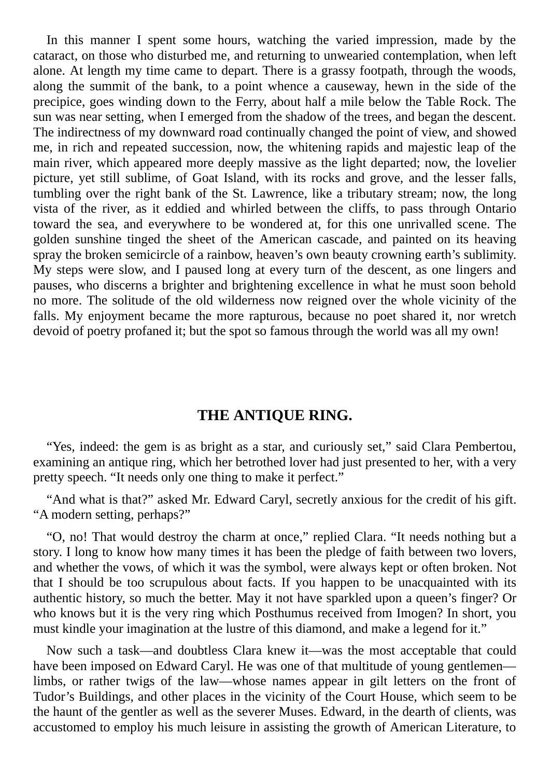In this manner I spent some hours, watching the varied impression, made by the cataract, on those who disturbed me, and returning to unwearied contemplation, when left alone. At length my time came to depart. There is a grassy footpath, through the woods, along the summit of the bank, to a point whence a causeway, hewn in the side of the precipice, goes winding down to the Ferry, about half a mile below the Table Rock. The sun was near setting, when I emerged from the shadow of the trees, and began the descent. The indirectness of my downward road continually changed the point of view, and showed me, in rich and repeated succession, now, the whitening rapids and majestic leap of the main river, which appeared more deeply massive as the light departed; now, the lovelier picture, yet still sublime, of Goat Island, with its rocks and grove, and the lesser falls, tumbling over the right bank of the St. Lawrence, like a tributary stream; now, the long vista of the river, as it eddied and whirled between the cliffs, to pass through Ontario toward the sea, and everywhere to be wondered at, for this one unrivalled scene. The golden sunshine tinged the sheet of the American cascade, and painted on its heaving spray the broken semicircle of a rainbow, heaven's own beauty crowning earth's sublimity. My steps were slow, and I paused long at every turn of the descent, as one lingers and pauses, who discerns a brighter and brightening excellence in what he must soon behold no more. The solitude of the old wilderness now reigned over the whole vicinity of the falls. My enjoyment became the more rapturous, because no poet shared it, nor wretch devoid of poetry profaned it; but the spot so famous through the world was all my own!

# **THE ANTIQUE RING.**

"Yes, indeed: the gem is as bright as a star, and curiously set," said Clara Pembertou, examining an antique ring, which her betrothed lover had just presented to her, with a very pretty speech. "It needs only one thing to make it perfect."

"And what is that?" asked Mr. Edward Caryl, secretly anxious for the credit of his gift. "A modern setting, perhaps?"

"O, no! That would destroy the charm at once," replied Clara. "It needs nothing but a story. I long to know how many times it has been the pledge of faith between two lovers, and whether the vows, of which it was the symbol, were always kept or often broken. Not that I should be too scrupulous about facts. If you happen to be unacquainted with its authentic history, so much the better. May it not have sparkled upon a queen's finger? Or who knows but it is the very ring which Posthumus received from Imogen? In short, you must kindle your imagination at the lustre of this diamond, and make a legend for it."

Now such a task—and doubtless Clara knew it—was the most acceptable that could have been imposed on Edward Caryl. He was one of that multitude of young gentlemen limbs, or rather twigs of the law—whose names appear in gilt letters on the front of Tudor's Buildings, and other places in the vicinity of the Court House, which seem to be the haunt of the gentler as well as the severer Muses. Edward, in the dearth of clients, was accustomed to employ his much leisure in assisting the growth of American Literature, to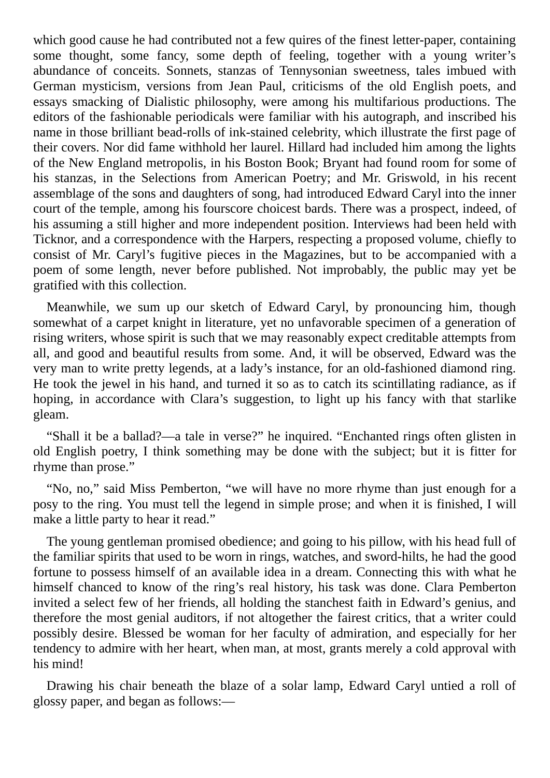which good cause he had contributed not a few quires of the finest letter-paper, containing some thought, some fancy, some depth of feeling, together with a young writer's abundance of conceits. Sonnets, stanzas of Tennysonian sweetness, tales imbued with German mysticism, versions from Jean Paul, criticisms of the old English poets, and essays smacking of Dialistic philosophy, were among his multifarious productions. The editors of the fashionable periodicals were familiar with his autograph, and inscribed his name in those brilliant bead-rolls of ink-stained celebrity, which illustrate the first page of their covers. Nor did fame withhold her laurel. Hillard had included him among the lights of the New England metropolis, in his Boston Book; Bryant had found room for some of his stanzas, in the Selections from American Poetry; and Mr. Griswold, in his recent assemblage of the sons and daughters of song, had introduced Edward Caryl into the inner court of the temple, among his fourscore choicest bards. There was a prospect, indeed, of his assuming a still higher and more independent position. Interviews had been held with Ticknor, and a correspondence with the Harpers, respecting a proposed volume, chiefly to consist of Mr. Caryl's fugitive pieces in the Magazines, but to be accompanied with a poem of some length, never before published. Not improbably, the public may yet be gratified with this collection.

Meanwhile, we sum up our sketch of Edward Caryl, by pronouncing him, though somewhat of a carpet knight in literature, yet no unfavorable specimen of a generation of rising writers, whose spirit is such that we may reasonably expect creditable attempts from all, and good and beautiful results from some. And, it will be observed, Edward was the very man to write pretty legends, at a lady's instance, for an old-fashioned diamond ring. He took the jewel in his hand, and turned it so as to catch its scintillating radiance, as if hoping, in accordance with Clara's suggestion, to light up his fancy with that starlike gleam.

"Shall it be a ballad?—a tale in verse?" he inquired. "Enchanted rings often glisten in old English poetry, I think something may be done with the subject; but it is fitter for rhyme than prose."

"No, no," said Miss Pemberton, "we will have no more rhyme than just enough for a posy to the ring. You must tell the legend in simple prose; and when it is finished, I will make a little party to hear it read."

The young gentleman promised obedience; and going to his pillow, with his head full of the familiar spirits that used to be worn in rings, watches, and sword-hilts, he had the good fortune to possess himself of an available idea in a dream. Connecting this with what he himself chanced to know of the ring's real history, his task was done. Clara Pemberton invited a select few of her friends, all holding the stanchest faith in Edward's genius, and therefore the most genial auditors, if not altogether the fairest critics, that a writer could possibly desire. Blessed be woman for her faculty of admiration, and especially for her tendency to admire with her heart, when man, at most, grants merely a cold approval with his mind!

Drawing his chair beneath the blaze of a solar lamp, Edward Caryl untied a roll of glossy paper, and began as follows:—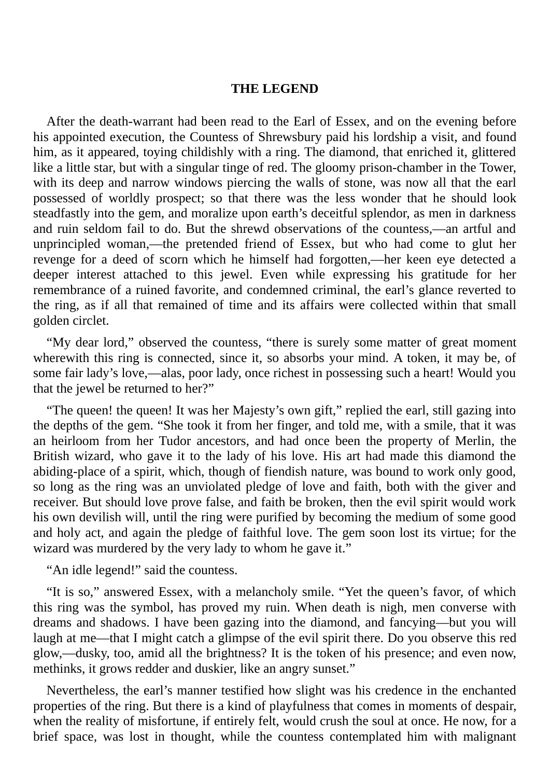#### **THE LEGEND**

After the death-warrant had been read to the Earl of Essex, and on the evening before his appointed execution, the Countess of Shrewsbury paid his lordship a visit, and found him, as it appeared, toying childishly with a ring. The diamond, that enriched it, glittered like a little star, but with a singular tinge of red. The gloomy prison-chamber in the Tower, with its deep and narrow windows piercing the walls of stone, was now all that the earl possessed of worldly prospect; so that there was the less wonder that he should look steadfastly into the gem, and moralize upon earth's deceitful splendor, as men in darkness and ruin seldom fail to do. But the shrewd observations of the countess,—an artful and unprincipled woman,—the pretended friend of Essex, but who had come to glut her revenge for a deed of scorn which he himself had forgotten,—her keen eye detected a deeper interest attached to this jewel. Even while expressing his gratitude for her remembrance of a ruined favorite, and condemned criminal, the earl's glance reverted to the ring, as if all that remained of time and its affairs were collected within that small golden circlet.

"My dear lord," observed the countess, "there is surely some matter of great moment wherewith this ring is connected, since it, so absorbs your mind. A token, it may be, of some fair lady's love,—alas, poor lady, once richest in possessing such a heart! Would you that the jewel be returned to her?"

"The queen! the queen! It was her Majesty's own gift," replied the earl, still gazing into the depths of the gem. "She took it from her finger, and told me, with a smile, that it was an heirloom from her Tudor ancestors, and had once been the property of Merlin, the British wizard, who gave it to the lady of his love. His art had made this diamond the abiding-place of a spirit, which, though of fiendish nature, was bound to work only good, so long as the ring was an unviolated pledge of love and faith, both with the giver and receiver. But should love prove false, and faith be broken, then the evil spirit would work his own devilish will, until the ring were purified by becoming the medium of some good and holy act, and again the pledge of faithful love. The gem soon lost its virtue; for the wizard was murdered by the very lady to whom he gave it."

"An idle legend!" said the countess.

"It is so," answered Essex, with a melancholy smile. "Yet the queen's favor, of which this ring was the symbol, has proved my ruin. When death is nigh, men converse with dreams and shadows. I have been gazing into the diamond, and fancying—but you will laugh at me—that I might catch a glimpse of the evil spirit there. Do you observe this red glow,—dusky, too, amid all the brightness? It is the token of his presence; and even now, methinks, it grows redder and duskier, like an angry sunset."

Nevertheless, the earl's manner testified how slight was his credence in the enchanted properties of the ring. But there is a kind of playfulness that comes in moments of despair, when the reality of misfortune, if entirely felt, would crush the soul at once. He now, for a brief space, was lost in thought, while the countess contemplated him with malignant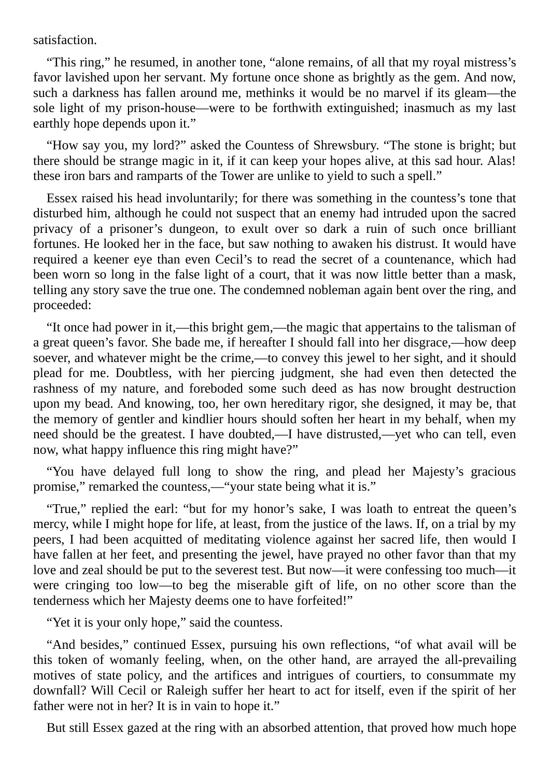satisfaction.

"This ring," he resumed, in another tone, "alone remains, of all that my royal mistress's favor lavished upon her servant. My fortune once shone as brightly as the gem. And now, such a darkness has fallen around me, methinks it would be no marvel if its gleam—the sole light of my prison-house—were to be forthwith extinguished; inasmuch as my last earthly hope depends upon it."

"How say you, my lord?" asked the Countess of Shrewsbury. "The stone is bright; but there should be strange magic in it, if it can keep your hopes alive, at this sad hour. Alas! these iron bars and ramparts of the Tower are unlike to yield to such a spell."

Essex raised his head involuntarily; for there was something in the countess's tone that disturbed him, although he could not suspect that an enemy had intruded upon the sacred privacy of a prisoner's dungeon, to exult over so dark a ruin of such once brilliant fortunes. He looked her in the face, but saw nothing to awaken his distrust. It would have required a keener eye than even Cecil's to read the secret of a countenance, which had been worn so long in the false light of a court, that it was now little better than a mask, telling any story save the true one. The condemned nobleman again bent over the ring, and proceeded:

"It once had power in it,—this bright gem,—the magic that appertains to the talisman of a great queen's favor. She bade me, if hereafter I should fall into her disgrace,—how deep soever, and whatever might be the crime,—to convey this jewel to her sight, and it should plead for me. Doubtless, with her piercing judgment, she had even then detected the rashness of my nature, and foreboded some such deed as has now brought destruction upon my bead. And knowing, too, her own hereditary rigor, she designed, it may be, that the memory of gentler and kindlier hours should soften her heart in my behalf, when my need should be the greatest. I have doubted,—I have distrusted,—yet who can tell, even now, what happy influence this ring might have?"

"You have delayed full long to show the ring, and plead her Majesty's gracious promise," remarked the countess,—"your state being what it is."

"True," replied the earl: "but for my honor's sake, I was loath to entreat the queen's mercy, while I might hope for life, at least, from the justice of the laws. If, on a trial by my peers, I had been acquitted of meditating violence against her sacred life, then would I have fallen at her feet, and presenting the jewel, have prayed no other favor than that my love and zeal should be put to the severest test. But now—it were confessing too much—it were cringing too low—to beg the miserable gift of life, on no other score than the tenderness which her Majesty deems one to have forfeited!"

"Yet it is your only hope," said the countess.

"And besides," continued Essex, pursuing his own reflections, "of what avail will be this token of womanly feeling, when, on the other hand, are arrayed the all-prevailing motives of state policy, and the artifices and intrigues of courtiers, to consummate my downfall? Will Cecil or Raleigh suffer her heart to act for itself, even if the spirit of her father were not in her? It is in vain to hope it."

But still Essex gazed at the ring with an absorbed attention, that proved how much hope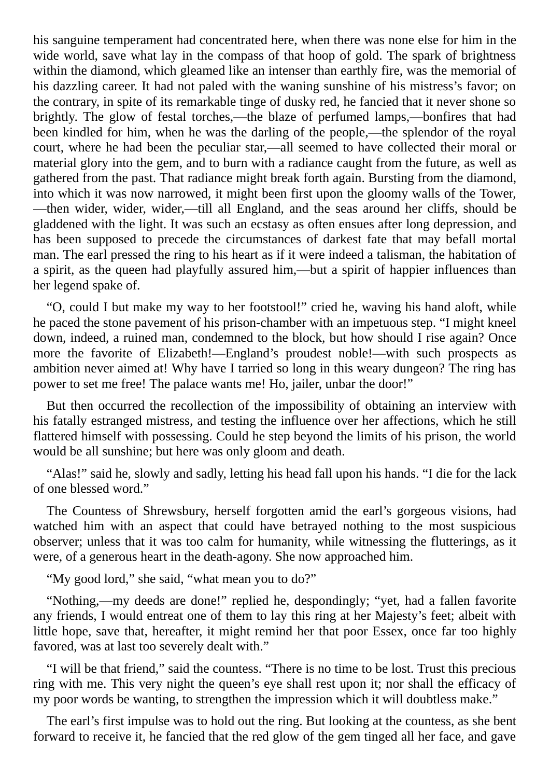his sanguine temperament had concentrated here, when there was none else for him in the wide world, save what lay in the compass of that hoop of gold. The spark of brightness within the diamond, which gleamed like an intenser than earthly fire, was the memorial of his dazzling career. It had not paled with the waning sunshine of his mistress's favor; on the contrary, in spite of its remarkable tinge of dusky red, he fancied that it never shone so brightly. The glow of festal torches,—the blaze of perfumed lamps,—bonfires that had been kindled for him, when he was the darling of the people,—the splendor of the royal court, where he had been the peculiar star,—all seemed to have collected their moral or material glory into the gem, and to burn with a radiance caught from the future, as well as gathered from the past. That radiance might break forth again. Bursting from the diamond, into which it was now narrowed, it might been first upon the gloomy walls of the Tower, —then wider, wider, wider,—till all England, and the seas around her cliffs, should be gladdened with the light. It was such an ecstasy as often ensues after long depression, and has been supposed to precede the circumstances of darkest fate that may befall mortal man. The earl pressed the ring to his heart as if it were indeed a talisman, the habitation of a spirit, as the queen had playfully assured him,—but a spirit of happier influences than her legend spake of.

"O, could I but make my way to her footstool!" cried he, waving his hand aloft, while he paced the stone pavement of his prison-chamber with an impetuous step. "I might kneel down, indeed, a ruined man, condemned to the block, but how should I rise again? Once more the favorite of Elizabeth!—England's proudest noble!—with such prospects as ambition never aimed at! Why have I tarried so long in this weary dungeon? The ring has power to set me free! The palace wants me! Ho, jailer, unbar the door!"

But then occurred the recollection of the impossibility of obtaining an interview with his fatally estranged mistress, and testing the influence over her affections, which he still flattered himself with possessing. Could he step beyond the limits of his prison, the world would be all sunshine; but here was only gloom and death.

"Alas!" said he, slowly and sadly, letting his head fall upon his hands. "I die for the lack of one blessed word."

The Countess of Shrewsbury, herself forgotten amid the earl's gorgeous visions, had watched him with an aspect that could have betrayed nothing to the most suspicious observer; unless that it was too calm for humanity, while witnessing the flutterings, as it were, of a generous heart in the death-agony. She now approached him.

"My good lord," she said, "what mean you to do?"

"Nothing,—my deeds are done!" replied he, despondingly; "yet, had a fallen favorite any friends, I would entreat one of them to lay this ring at her Majesty's feet; albeit with little hope, save that, hereafter, it might remind her that poor Essex, once far too highly favored, was at last too severely dealt with."

"I will be that friend," said the countess. "There is no time to be lost. Trust this precious ring with me. This very night the queen's eye shall rest upon it; nor shall the efficacy of my poor words be wanting, to strengthen the impression which it will doubtless make."

The earl's first impulse was to hold out the ring. But looking at the countess, as she bent forward to receive it, he fancied that the red glow of the gem tinged all her face, and gave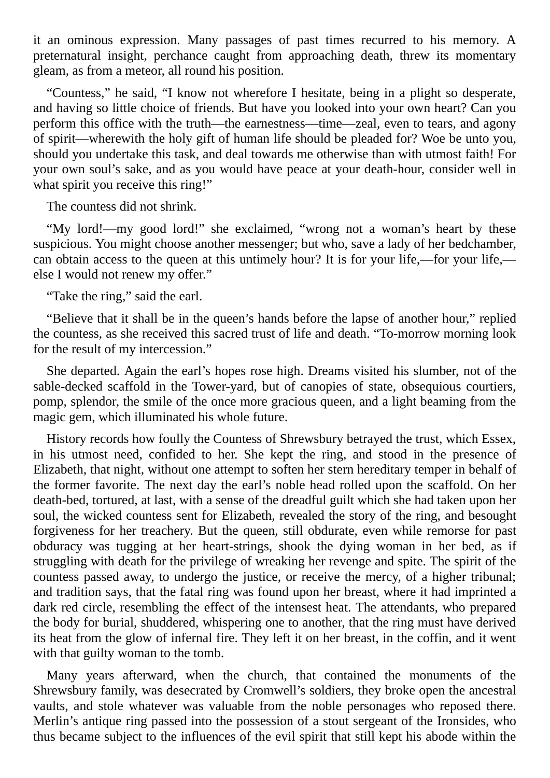it an ominous expression. Many passages of past times recurred to his memory. A preternatural insight, perchance caught from approaching death, threw its momentary gleam, as from a meteor, all round his position.

"Countess," he said, "I know not wherefore I hesitate, being in a plight so desperate, and having so little choice of friends. But have you looked into your own heart? Can you perform this office with the truth—the earnestness—time—zeal, even to tears, and agony of spirit—wherewith the holy gift of human life should be pleaded for? Woe be unto you, should you undertake this task, and deal towards me otherwise than with utmost faith! For your own soul's sake, and as you would have peace at your death-hour, consider well in what spirit you receive this ring!"

The countess did not shrink.

"My lord!—my good lord!" she exclaimed, "wrong not a woman's heart by these suspicious. You might choose another messenger; but who, save a lady of her bedchamber, can obtain access to the queen at this untimely hour? It is for your life,—for your life, else I would not renew my offer."

"Take the ring," said the earl.

"Believe that it shall be in the queen's hands before the lapse of another hour," replied the countess, as she received this sacred trust of life and death. "To-morrow morning look for the result of my intercession."

She departed. Again the earl's hopes rose high. Dreams visited his slumber, not of the sable-decked scaffold in the Tower-yard, but of canopies of state, obsequious courtiers, pomp, splendor, the smile of the once more gracious queen, and a light beaming from the magic gem, which illuminated his whole future.

History records how foully the Countess of Shrewsbury betrayed the trust, which Essex, in his utmost need, confided to her. She kept the ring, and stood in the presence of Elizabeth, that night, without one attempt to soften her stern hereditary temper in behalf of the former favorite. The next day the earl's noble head rolled upon the scaffold. On her death-bed, tortured, at last, with a sense of the dreadful guilt which she had taken upon her soul, the wicked countess sent for Elizabeth, revealed the story of the ring, and besought forgiveness for her treachery. But the queen, still obdurate, even while remorse for past obduracy was tugging at her heart-strings, shook the dying woman in her bed, as if struggling with death for the privilege of wreaking her revenge and spite. The spirit of the countess passed away, to undergo the justice, or receive the mercy, of a higher tribunal; and tradition says, that the fatal ring was found upon her breast, where it had imprinted a dark red circle, resembling the effect of the intensest heat. The attendants, who prepared the body for burial, shuddered, whispering one to another, that the ring must have derived its heat from the glow of infernal fire. They left it on her breast, in the coffin, and it went with that guilty woman to the tomb.

Many years afterward, when the church, that contained the monuments of the Shrewsbury family, was desecrated by Cromwell's soldiers, they broke open the ancestral vaults, and stole whatever was valuable from the noble personages who reposed there. Merlin's antique ring passed into the possession of a stout sergeant of the Ironsides, who thus became subject to the influences of the evil spirit that still kept his abode within the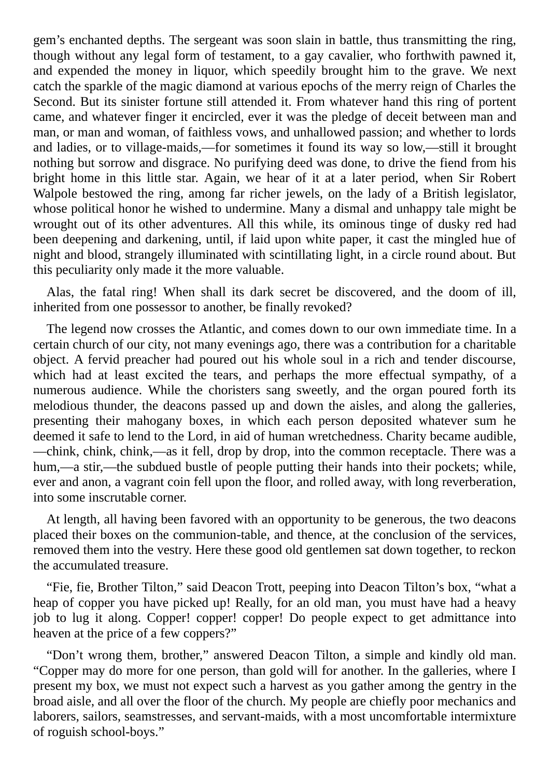gem's enchanted depths. The sergeant was soon slain in battle, thus transmitting the ring, though without any legal form of testament, to a gay cavalier, who forthwith pawned it, and expended the money in liquor, which speedily brought him to the grave. We next catch the sparkle of the magic diamond at various epochs of the merry reign of Charles the Second. But its sinister fortune still attended it. From whatever hand this ring of portent came, and whatever finger it encircled, ever it was the pledge of deceit between man and man, or man and woman, of faithless vows, and unhallowed passion; and whether to lords and ladies, or to village-maids,—for sometimes it found its way so low,—still it brought nothing but sorrow and disgrace. No purifying deed was done, to drive the fiend from his bright home in this little star. Again, we hear of it at a later period, when Sir Robert Walpole bestowed the ring, among far richer jewels, on the lady of a British legislator, whose political honor he wished to undermine. Many a dismal and unhappy tale might be wrought out of its other adventures. All this while, its ominous tinge of dusky red had been deepening and darkening, until, if laid upon white paper, it cast the mingled hue of night and blood, strangely illuminated with scintillating light, in a circle round about. But this peculiarity only made it the more valuable.

Alas, the fatal ring! When shall its dark secret be discovered, and the doom of ill, inherited from one possessor to another, be finally revoked?

The legend now crosses the Atlantic, and comes down to our own immediate time. In a certain church of our city, not many evenings ago, there was a contribution for a charitable object. A fervid preacher had poured out his whole soul in a rich and tender discourse, which had at least excited the tears, and perhaps the more effectual sympathy, of a numerous audience. While the choristers sang sweetly, and the organ poured forth its melodious thunder, the deacons passed up and down the aisles, and along the galleries, presenting their mahogany boxes, in which each person deposited whatever sum he deemed it safe to lend to the Lord, in aid of human wretchedness. Charity became audible, —chink, chink, chink,—as it fell, drop by drop, into the common receptacle. There was a hum,—a stir,—the subdued bustle of people putting their hands into their pockets; while, ever and anon, a vagrant coin fell upon the floor, and rolled away, with long reverberation, into some inscrutable corner.

At length, all having been favored with an opportunity to be generous, the two deacons placed their boxes on the communion-table, and thence, at the conclusion of the services, removed them into the vestry. Here these good old gentlemen sat down together, to reckon the accumulated treasure.

"Fie, fie, Brother Tilton," said Deacon Trott, peeping into Deacon Tilton's box, "what a heap of copper you have picked up! Really, for an old man, you must have had a heavy job to lug it along. Copper! copper! copper! Do people expect to get admittance into heaven at the price of a few coppers?"

"Don't wrong them, brother," answered Deacon Tilton, a simple and kindly old man. "Copper may do more for one person, than gold will for another. In the galleries, where I present my box, we must not expect such a harvest as you gather among the gentry in the broad aisle, and all over the floor of the church. My people are chiefly poor mechanics and laborers, sailors, seamstresses, and servant-maids, with a most uncomfortable intermixture of roguish school-boys."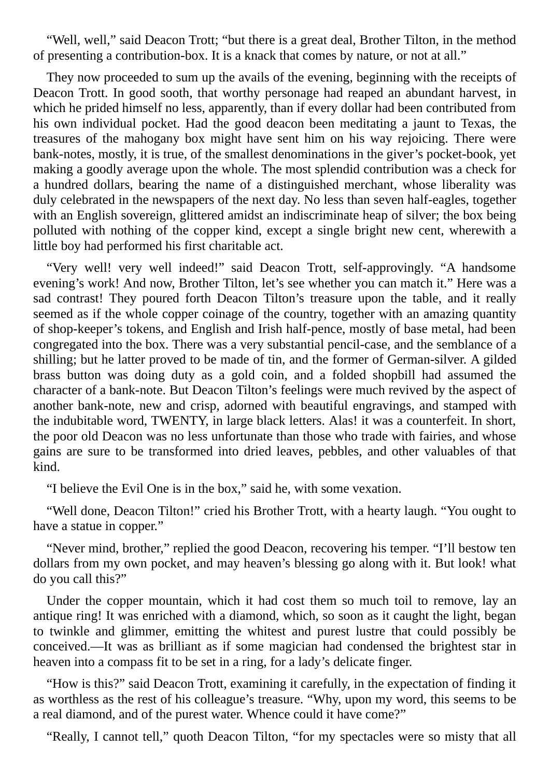"Well, well," said Deacon Trott; "but there is a great deal, Brother Tilton, in the method of presenting a contribution-box. It is a knack that comes by nature, or not at all."

They now proceeded to sum up the avails of the evening, beginning with the receipts of Deacon Trott. In good sooth, that worthy personage had reaped an abundant harvest, in which he prided himself no less, apparently, than if every dollar had been contributed from his own individual pocket. Had the good deacon been meditating a jaunt to Texas, the treasures of the mahogany box might have sent him on his way rejoicing. There were bank-notes, mostly, it is true, of the smallest denominations in the giver's pocket-book, yet making a goodly average upon the whole. The most splendid contribution was a check for a hundred dollars, bearing the name of a distinguished merchant, whose liberality was duly celebrated in the newspapers of the next day. No less than seven half-eagles, together with an English sovereign, glittered amidst an indiscriminate heap of silver; the box being polluted with nothing of the copper kind, except a single bright new cent, wherewith a little boy had performed his first charitable act.

"Very well! very well indeed!" said Deacon Trott, self-approvingly. "A handsome evening's work! And now, Brother Tilton, let's see whether you can match it." Here was a sad contrast! They poured forth Deacon Tilton's treasure upon the table, and it really seemed as if the whole copper coinage of the country, together with an amazing quantity of shop-keeper's tokens, and English and Irish half-pence, mostly of base metal, had been congregated into the box. There was a very substantial pencil-case, and the semblance of a shilling; but he latter proved to be made of tin, and the former of German-silver. A gilded brass button was doing duty as a gold coin, and a folded shopbill had assumed the character of a bank-note. But Deacon Tilton's feelings were much revived by the aspect of another bank-note, new and crisp, adorned with beautiful engravings, and stamped with the indubitable word, TWENTY, in large black letters. Alas! it was a counterfeit. In short, the poor old Deacon was no less unfortunate than those who trade with fairies, and whose gains are sure to be transformed into dried leaves, pebbles, and other valuables of that kind.

"I believe the Evil One is in the box," said he, with some vexation.

"Well done, Deacon Tilton!" cried his Brother Trott, with a hearty laugh. "You ought to have a statue in copper."

"Never mind, brother," replied the good Deacon, recovering his temper. "I'll bestow ten dollars from my own pocket, and may heaven's blessing go along with it. But look! what do you call this?"

Under the copper mountain, which it had cost them so much toil to remove, lay an antique ring! It was enriched with a diamond, which, so soon as it caught the light, began to twinkle and glimmer, emitting the whitest and purest lustre that could possibly be conceived.—It was as brilliant as if some magician had condensed the brightest star in heaven into a compass fit to be set in a ring, for a lady's delicate finger.

"How is this?" said Deacon Trott, examining it carefully, in the expectation of finding it as worthless as the rest of his colleague's treasure. "Why, upon my word, this seems to be a real diamond, and of the purest water. Whence could it have come?"

"Really, I cannot tell," quoth Deacon Tilton, "for my spectacles were so misty that all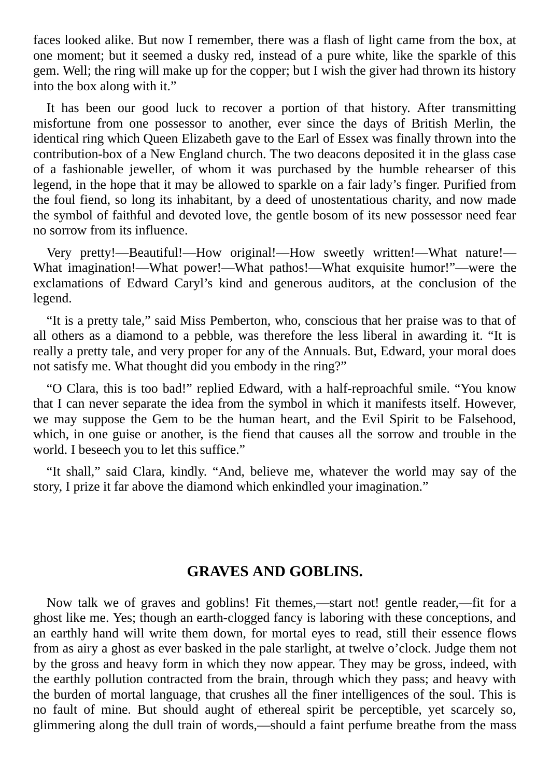faces looked alike. But now I remember, there was a flash of light came from the box, at one moment; but it seemed a dusky red, instead of a pure white, like the sparkle of this gem. Well; the ring will make up for the copper; but I wish the giver had thrown its history into the box along with it."

It has been our good luck to recover a portion of that history. After transmitting misfortune from one possessor to another, ever since the days of British Merlin, the identical ring which Queen Elizabeth gave to the Earl of Essex was finally thrown into the contribution-box of a New England church. The two deacons deposited it in the glass case of a fashionable jeweller, of whom it was purchased by the humble rehearser of this legend, in the hope that it may be allowed to sparkle on a fair lady's finger. Purified from the foul fiend, so long its inhabitant, by a deed of unostentatious charity, and now made the symbol of faithful and devoted love, the gentle bosom of its new possessor need fear no sorrow from its influence.

Very pretty!—Beautiful!—How original!—How sweetly written!—What nature!— What imagination!—What power!—What pathos!—What exquisite humor!"—were the exclamations of Edward Caryl's kind and generous auditors, at the conclusion of the legend.

"It is a pretty tale," said Miss Pemberton, who, conscious that her praise was to that of all others as a diamond to a pebble, was therefore the less liberal in awarding it. "It is really a pretty tale, and very proper for any of the Annuals. But, Edward, your moral does not satisfy me. What thought did you embody in the ring?"

"O Clara, this is too bad!" replied Edward, with a half-reproachful smile. "You know that I can never separate the idea from the symbol in which it manifests itself. However, we may suppose the Gem to be the human heart, and the Evil Spirit to be Falsehood, which, in one guise or another, is the fiend that causes all the sorrow and trouble in the world. I beseech you to let this suffice."

"It shall," said Clara, kindly. "And, believe me, whatever the world may say of the story, I prize it far above the diamond which enkindled your imagination."

## **GRAVES AND GOBLINS.**

Now talk we of graves and goblins! Fit themes,—start not! gentle reader,—fit for a ghost like me. Yes; though an earth-clogged fancy is laboring with these conceptions, and an earthly hand will write them down, for mortal eyes to read, still their essence flows from as airy a ghost as ever basked in the pale starlight, at twelve o'clock. Judge them not by the gross and heavy form in which they now appear. They may be gross, indeed, with the earthly pollution contracted from the brain, through which they pass; and heavy with the burden of mortal language, that crushes all the finer intelligences of the soul. This is no fault of mine. But should aught of ethereal spirit be perceptible, yet scarcely so, glimmering along the dull train of words,—should a faint perfume breathe from the mass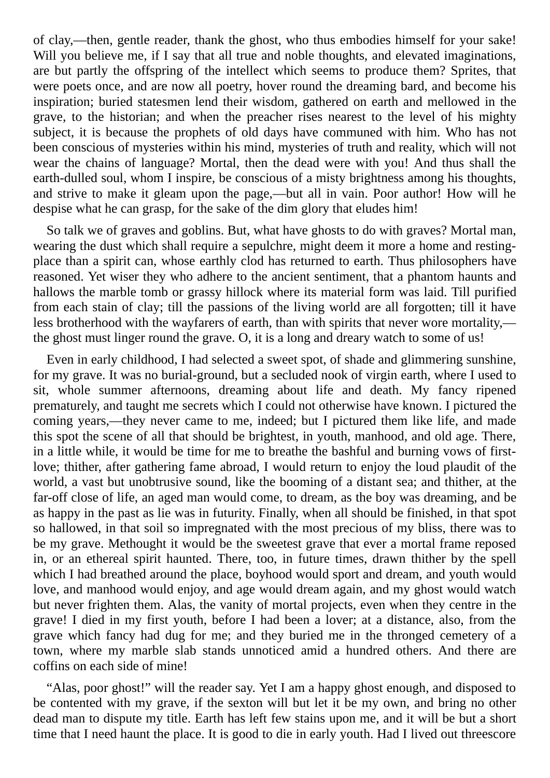of clay,—then, gentle reader, thank the ghost, who thus embodies himself for your sake! Will you believe me, if I say that all true and noble thoughts, and elevated imaginations, are but partly the offspring of the intellect which seems to produce them? Sprites, that were poets once, and are now all poetry, hover round the dreaming bard, and become his inspiration; buried statesmen lend their wisdom, gathered on earth and mellowed in the grave, to the historian; and when the preacher rises nearest to the level of his mighty subject, it is because the prophets of old days have communed with him. Who has not been conscious of mysteries within his mind, mysteries of truth and reality, which will not wear the chains of language? Mortal, then the dead were with you! And thus shall the earth-dulled soul, whom I inspire, be conscious of a misty brightness among his thoughts, and strive to make it gleam upon the page,—but all in vain. Poor author! How will he despise what he can grasp, for the sake of the dim glory that eludes him!

So talk we of graves and goblins. But, what have ghosts to do with graves? Mortal man, wearing the dust which shall require a sepulchre, might deem it more a home and restingplace than a spirit can, whose earthly clod has returned to earth. Thus philosophers have reasoned. Yet wiser they who adhere to the ancient sentiment, that a phantom haunts and hallows the marble tomb or grassy hillock where its material form was laid. Till purified from each stain of clay; till the passions of the living world are all forgotten; till it have less brotherhood with the wayfarers of earth, than with spirits that never wore mortality, the ghost must linger round the grave. O, it is a long and dreary watch to some of us!

Even in early childhood, I had selected a sweet spot, of shade and glimmering sunshine, for my grave. It was no burial-ground, but a secluded nook of virgin earth, where I used to sit, whole summer afternoons, dreaming about life and death. My fancy ripened prematurely, and taught me secrets which I could not otherwise have known. I pictured the coming years,—they never came to me, indeed; but I pictured them like life, and made this spot the scene of all that should be brightest, in youth, manhood, and old age. There, in a little while, it would be time for me to breathe the bashful and burning vows of firstlove; thither, after gathering fame abroad, I would return to enjoy the loud plaudit of the world, a vast but unobtrusive sound, like the booming of a distant sea; and thither, at the far-off close of life, an aged man would come, to dream, as the boy was dreaming, and be as happy in the past as lie was in futurity. Finally, when all should be finished, in that spot so hallowed, in that soil so impregnated with the most precious of my bliss, there was to be my grave. Methought it would be the sweetest grave that ever a mortal frame reposed in, or an ethereal spirit haunted. There, too, in future times, drawn thither by the spell which I had breathed around the place, boyhood would sport and dream, and youth would love, and manhood would enjoy, and age would dream again, and my ghost would watch but never frighten them. Alas, the vanity of mortal projects, even when they centre in the grave! I died in my first youth, before I had been a lover; at a distance, also, from the grave which fancy had dug for me; and they buried me in the thronged cemetery of a town, where my marble slab stands unnoticed amid a hundred others. And there are coffins on each side of mine!

"Alas, poor ghost!" will the reader say. Yet I am a happy ghost enough, and disposed to be contented with my grave, if the sexton will but let it be my own, and bring no other dead man to dispute my title. Earth has left few stains upon me, and it will be but a short time that I need haunt the place. It is good to die in early youth. Had I lived out threescore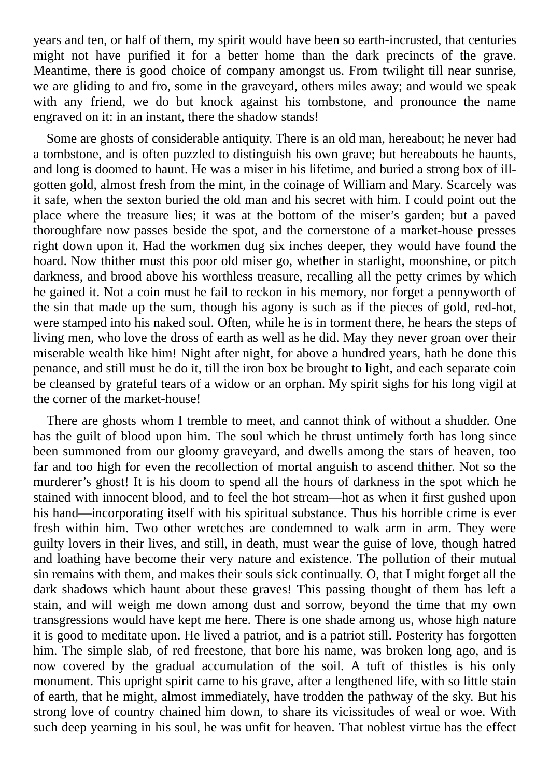years and ten, or half of them, my spirit would have been so earth-incrusted, that centuries might not have purified it for a better home than the dark precincts of the grave. Meantime, there is good choice of company amongst us. From twilight till near sunrise, we are gliding to and fro, some in the graveyard, others miles away; and would we speak with any friend, we do but knock against his tombstone, and pronounce the name engraved on it: in an instant, there the shadow stands!

Some are ghosts of considerable antiquity. There is an old man, hereabout; he never had a tombstone, and is often puzzled to distinguish his own grave; but hereabouts he haunts, and long is doomed to haunt. He was a miser in his lifetime, and buried a strong box of illgotten gold, almost fresh from the mint, in the coinage of William and Mary. Scarcely was it safe, when the sexton buried the old man and his secret with him. I could point out the place where the treasure lies; it was at the bottom of the miser's garden; but a paved thoroughfare now passes beside the spot, and the cornerstone of a market-house presses right down upon it. Had the workmen dug six inches deeper, they would have found the hoard. Now thither must this poor old miser go, whether in starlight, moonshine, or pitch darkness, and brood above his worthless treasure, recalling all the petty crimes by which he gained it. Not a coin must he fail to reckon in his memory, nor forget a pennyworth of the sin that made up the sum, though his agony is such as if the pieces of gold, red-hot, were stamped into his naked soul. Often, while he is in torment there, he hears the steps of living men, who love the dross of earth as well as he did. May they never groan over their miserable wealth like him! Night after night, for above a hundred years, hath he done this penance, and still must he do it, till the iron box be brought to light, and each separate coin be cleansed by grateful tears of a widow or an orphan. My spirit sighs for his long vigil at the corner of the market-house!

There are ghosts whom I tremble to meet, and cannot think of without a shudder. One has the guilt of blood upon him. The soul which he thrust untimely forth has long since been summoned from our gloomy graveyard, and dwells among the stars of heaven, too far and too high for even the recollection of mortal anguish to ascend thither. Not so the murderer's ghost! It is his doom to spend all the hours of darkness in the spot which he stained with innocent blood, and to feel the hot stream—hot as when it first gushed upon his hand—incorporating itself with his spiritual substance. Thus his horrible crime is ever fresh within him. Two other wretches are condemned to walk arm in arm. They were guilty lovers in their lives, and still, in death, must wear the guise of love, though hatred and loathing have become their very nature and existence. The pollution of their mutual sin remains with them, and makes their souls sick continually. O, that I might forget all the dark shadows which haunt about these graves! This passing thought of them has left a stain, and will weigh me down among dust and sorrow, beyond the time that my own transgressions would have kept me here. There is one shade among us, whose high nature it is good to meditate upon. He lived a patriot, and is a patriot still. Posterity has forgotten him. The simple slab, of red freestone, that bore his name, was broken long ago, and is now covered by the gradual accumulation of the soil. A tuft of thistles is his only monument. This upright spirit came to his grave, after a lengthened life, with so little stain of earth, that he might, almost immediately, have trodden the pathway of the sky. But his strong love of country chained him down, to share its vicissitudes of weal or woe. With such deep yearning in his soul, he was unfit for heaven. That noblest virtue has the effect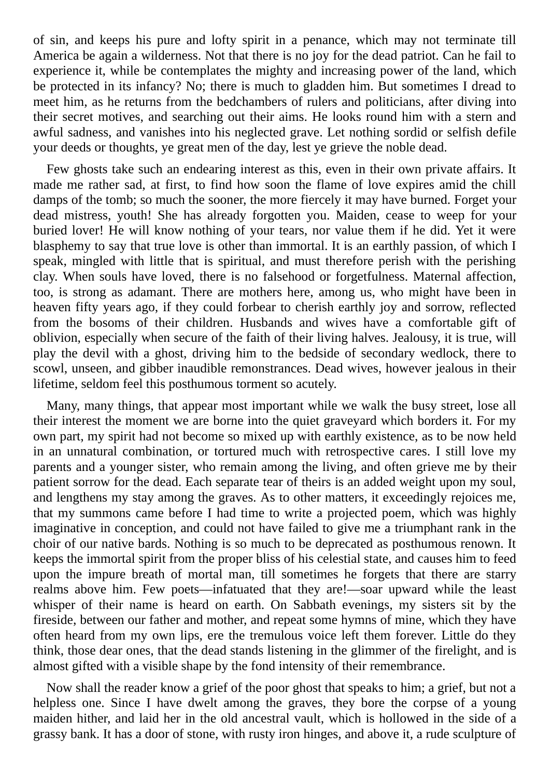of sin, and keeps his pure and lofty spirit in a penance, which may not terminate till America be again a wilderness. Not that there is no joy for the dead patriot. Can he fail to experience it, while be contemplates the mighty and increasing power of the land, which be protected in its infancy? No; there is much to gladden him. But sometimes I dread to meet him, as he returns from the bedchambers of rulers and politicians, after diving into their secret motives, and searching out their aims. He looks round him with a stern and awful sadness, and vanishes into his neglected grave. Let nothing sordid or selfish defile your deeds or thoughts, ye great men of the day, lest ye grieve the noble dead.

Few ghosts take such an endearing interest as this, even in their own private affairs. It made me rather sad, at first, to find how soon the flame of love expires amid the chill damps of the tomb; so much the sooner, the more fiercely it may have burned. Forget your dead mistress, youth! She has already forgotten you. Maiden, cease to weep for your buried lover! He will know nothing of your tears, nor value them if he did. Yet it were blasphemy to say that true love is other than immortal. It is an earthly passion, of which I speak, mingled with little that is spiritual, and must therefore perish with the perishing clay. When souls have loved, there is no falsehood or forgetfulness. Maternal affection, too, is strong as adamant. There are mothers here, among us, who might have been in heaven fifty years ago, if they could forbear to cherish earthly joy and sorrow, reflected from the bosoms of their children. Husbands and wives have a comfortable gift of oblivion, especially when secure of the faith of their living halves. Jealousy, it is true, will play the devil with a ghost, driving him to the bedside of secondary wedlock, there to scowl, unseen, and gibber inaudible remonstrances. Dead wives, however jealous in their lifetime, seldom feel this posthumous torment so acutely.

Many, many things, that appear most important while we walk the busy street, lose all their interest the moment we are borne into the quiet graveyard which borders it. For my own part, my spirit had not become so mixed up with earthly existence, as to be now held in an unnatural combination, or tortured much with retrospective cares. I still love my parents and a younger sister, who remain among the living, and often grieve me by their patient sorrow for the dead. Each separate tear of theirs is an added weight upon my soul, and lengthens my stay among the graves. As to other matters, it exceedingly rejoices me, that my summons came before I had time to write a projected poem, which was highly imaginative in conception, and could not have failed to give me a triumphant rank in the choir of our native bards. Nothing is so much to be deprecated as posthumous renown. It keeps the immortal spirit from the proper bliss of his celestial state, and causes him to feed upon the impure breath of mortal man, till sometimes he forgets that there are starry realms above him. Few poets—infatuated that they are!—soar upward while the least whisper of their name is heard on earth. On Sabbath evenings, my sisters sit by the fireside, between our father and mother, and repeat some hymns of mine, which they have often heard from my own lips, ere the tremulous voice left them forever. Little do they think, those dear ones, that the dead stands listening in the glimmer of the firelight, and is almost gifted with a visible shape by the fond intensity of their remembrance.

Now shall the reader know a grief of the poor ghost that speaks to him; a grief, but not a helpless one. Since I have dwelt among the graves, they bore the corpse of a young maiden hither, and laid her in the old ancestral vault, which is hollowed in the side of a grassy bank. It has a door of stone, with rusty iron hinges, and above it, a rude sculpture of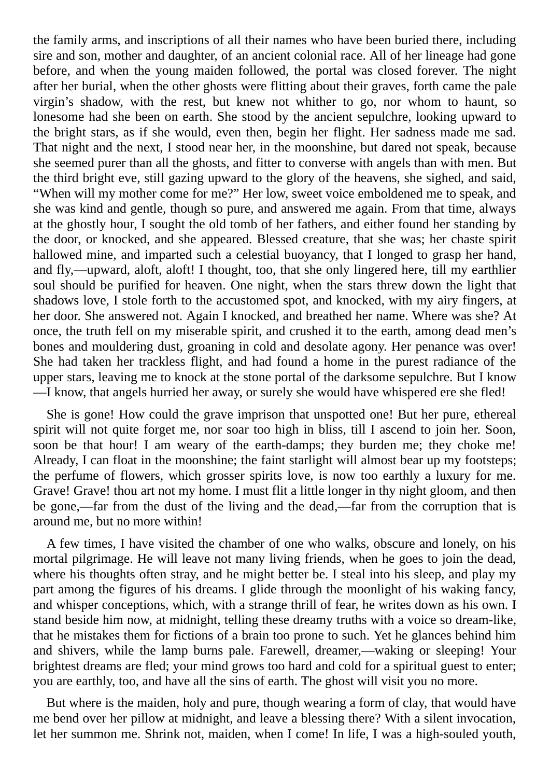the family arms, and inscriptions of all their names who have been buried there, including sire and son, mother and daughter, of an ancient colonial race. All of her lineage had gone before, and when the young maiden followed, the portal was closed forever. The night after her burial, when the other ghosts were flitting about their graves, forth came the pale virgin's shadow, with the rest, but knew not whither to go, nor whom to haunt, so lonesome had she been on earth. She stood by the ancient sepulchre, looking upward to the bright stars, as if she would, even then, begin her flight. Her sadness made me sad. That night and the next, I stood near her, in the moonshine, but dared not speak, because she seemed purer than all the ghosts, and fitter to converse with angels than with men. But the third bright eve, still gazing upward to the glory of the heavens, she sighed, and said, "When will my mother come for me?" Her low, sweet voice emboldened me to speak, and she was kind and gentle, though so pure, and answered me again. From that time, always at the ghostly hour, I sought the old tomb of her fathers, and either found her standing by the door, or knocked, and she appeared. Blessed creature, that she was; her chaste spirit hallowed mine, and imparted such a celestial buoyancy, that I longed to grasp her hand, and fly,—upward, aloft, aloft! I thought, too, that she only lingered here, till my earthlier soul should be purified for heaven. One night, when the stars threw down the light that shadows love, I stole forth to the accustomed spot, and knocked, with my airy fingers, at her door. She answered not. Again I knocked, and breathed her name. Where was she? At once, the truth fell on my miserable spirit, and crushed it to the earth, among dead men's bones and mouldering dust, groaning in cold and desolate agony. Her penance was over! She had taken her trackless flight, and had found a home in the purest radiance of the upper stars, leaving me to knock at the stone portal of the darksome sepulchre. But I know —I know, that angels hurried her away, or surely she would have whispered ere she fled!

She is gone! How could the grave imprison that unspotted one! But her pure, ethereal spirit will not quite forget me, nor soar too high in bliss, till I ascend to join her. Soon, soon be that hour! I am weary of the earth-damps; they burden me; they choke me! Already, I can float in the moonshine; the faint starlight will almost bear up my footsteps; the perfume of flowers, which grosser spirits love, is now too earthly a luxury for me. Grave! Grave! thou art not my home. I must flit a little longer in thy night gloom, and then be gone,—far from the dust of the living and the dead,—far from the corruption that is around me, but no more within!

A few times, I have visited the chamber of one who walks, obscure and lonely, on his mortal pilgrimage. He will leave not many living friends, when he goes to join the dead, where his thoughts often stray, and he might better be. I steal into his sleep, and play my part among the figures of his dreams. I glide through the moonlight of his waking fancy, and whisper conceptions, which, with a strange thrill of fear, he writes down as his own. I stand beside him now, at midnight, telling these dreamy truths with a voice so dream-like, that he mistakes them for fictions of a brain too prone to such. Yet he glances behind him and shivers, while the lamp burns pale. Farewell, dreamer,—waking or sleeping! Your brightest dreams are fled; your mind grows too hard and cold for a spiritual guest to enter; you are earthly, too, and have all the sins of earth. The ghost will visit you no more.

But where is the maiden, holy and pure, though wearing a form of clay, that would have me bend over her pillow at midnight, and leave a blessing there? With a silent invocation, let her summon me. Shrink not, maiden, when I come! In life, I was a high-souled youth,